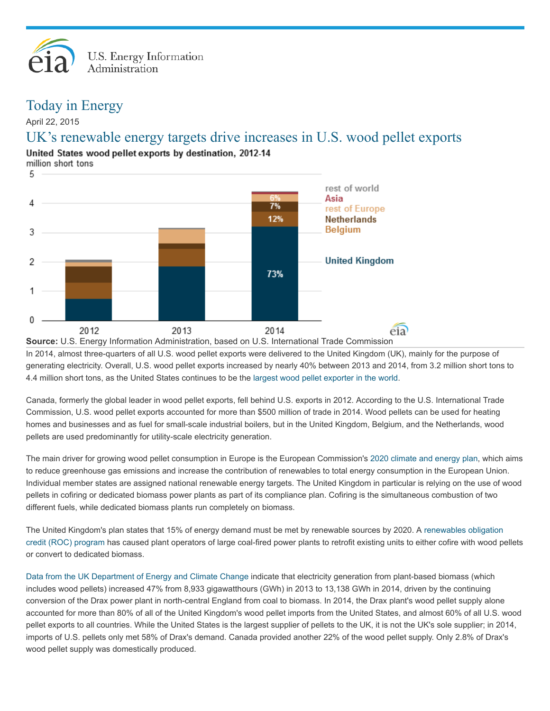

## Today in Energy

April 22, 2015

## UK's renewable energy targets drive increases in U.S. wood pellet exports

United States wood pellet exports by destination, 2012-14

million short tons



In 2014, almost three-quarters of all U.S. wood pellet exports were delivered to the United Kingdom (UK), mainly for the purpose of generating electricity. Overall, U.S. wood pellet exports increased by nearly 40% between 2013 and 2014, from 3.2 million short tons to 4.4 million short tons, as the United States continues to be the largest wood pellet [exporter](http://www5.statcan.gc.ca/cimt-cicm/topNCountries-pays?lang=eng§ionId=0&dataTransformation=0&refYr=2014&refMonth=1&freq=12&countryId=0&usaState=0&provId=1&retrieve=Retrieve&save=null&country=null&tradeType=1&topNDefault=10&monthStr=null&chapterId=44&arrayId=0§ionLabel=&scaleValue=0&scaleQuantity=0&commodityId=440131) in the world.

Canada, formerly the global leader in wood pellet exports, fell behind U.S. exports in 2012. According to the U.S. International Trade Commission, U.S. wood pellet exports accounted for more than \$500 million of trade in 2014. Wood pellets can be used for heating homes and businesses and as fuel for small-scale industrial boilers, but in the United Kingdom, Belgium, and the Netherlands, wood pellets are used predominantly for utility-scale electricity generation.

The main driver for growing wood pellet consumption in Europe is the European Commission's 2020 [climate](http://ec.europa.eu/clima/policies/package/index_en.htm) and energy plan, which aims to reduce greenhouse gas emissions and increase the contribution of renewables to total energy consumption in the European Union. Individual member states are assigned national renewable energy targets. The United Kingdom in particular is relying on the use of wood pellets in cofiring or dedicated biomass power plants as part of its compliance plan. Cofiring is the simultaneous combustion of two different fuels, while dedicated biomass plants run completely on biomass.

The United Kingdom's plan states that 15% of energy demand must be met by renewable sources by 2020. A [renewables](https://www.gov.uk/government/policies/increasing-the-use-of-low-carbon-technologies/supporting-pages/the-renewables-obligation-ro) obligation credit (ROC) program has caused plant operators of large coal-fired power plants to retrofit existing units to either cofire with wood pellets or convert to dedicated biomass.

Data from the UK [Department](https://www.gov.uk/government/statistics/energy-trends-section-6-renewables) of Energy and Climate Change indicate that electricity generation from plant-based biomass (which includes wood pellets) increased 47% from 8,933 gigawatthours (GWh) in 2013 to 13,138 GWh in 2014, driven by the continuing conversion of the Drax power plant in north-central England from coal to biomass. In 2014, the Drax plant's wood pellet supply alone accounted for more than 80% of all of the United Kingdom's wood pellet imports from the United States, and almost 60% of all U.S. wood pellet exports to all countries. While the United States is the largest supplier of pellets to the UK, it is not the UK's sole supplier; in 2014, imports of U.S. pellets only met 58% of Drax's demand. Canada provided another 22% of the wood pellet supply. Only 2.8% of Drax's wood pellet supply was domestically produced.